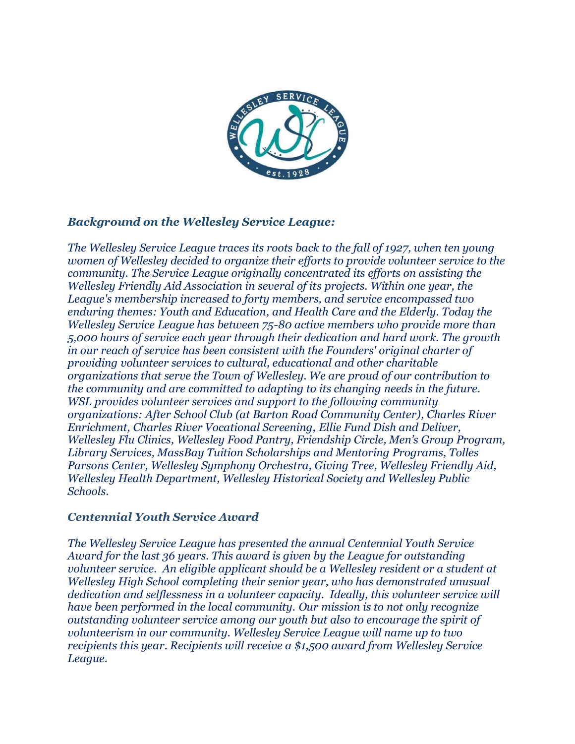

### *Background on the Wellesley Service League:*

*The Wellesley Service League traces its roots back to the fall of 1927, when ten young women of Wellesley decided to organize their efforts to provide volunteer service to the community. The Service League originally concentrated its efforts on assisting the Wellesley Friendly Aid Association in several of its projects. Within one year, the League's membership increased to forty members, and service encompassed two enduring themes: Youth and Education, and Health Care and the Elderly. Today the Wellesley Service League has between 75-80 active members who provide more than 5,000 hours of service each year through their dedication and hard work. The growth in our reach of service has been consistent with the Founders' original charter of providing volunteer services to cultural, educational and other charitable organizations that serve the Town of Wellesley. We are proud of our contribution to the community and are committed to adapting to its changing needs in the future. WSL provides volunteer services and support to the following community organizations: After School Club (at Barton Road Community Center), Charles River Enrichment, Charles River Vocational Screening, Ellie Fund Dish and Deliver, Wellesley Flu Clinics, Wellesley Food Pantry, Friendship Circle, Men's Group Program, Library Services, MassBay Tuition Scholarships and Mentoring Programs, Tolles Parsons Center, Wellesley Symphony Orchestra, Giving Tree, Wellesley Friendly Aid, Wellesley Health Department, Wellesley Historical Society and Wellesley Public Schools.* 

#### *Centennial Youth Service Award*

*The Wellesley Service League has presented the annual Centennial Youth Service Award for the last 36 years. This award is given by the League for outstanding volunteer service. An eligible applicant should be a Wellesley resident or a student at Wellesley High School completing their senior year, who has demonstrated unusual dedication and selflessness in a volunteer capacity. Ideally, this volunteer service will have been performed in the local community. Our mission is to not only recognize outstanding volunteer service among our youth but also to encourage the spirit of volunteerism in our community. Wellesley Service League will name up to two recipients this year. Recipients will receive a \$1,500 award from Wellesley Service League.*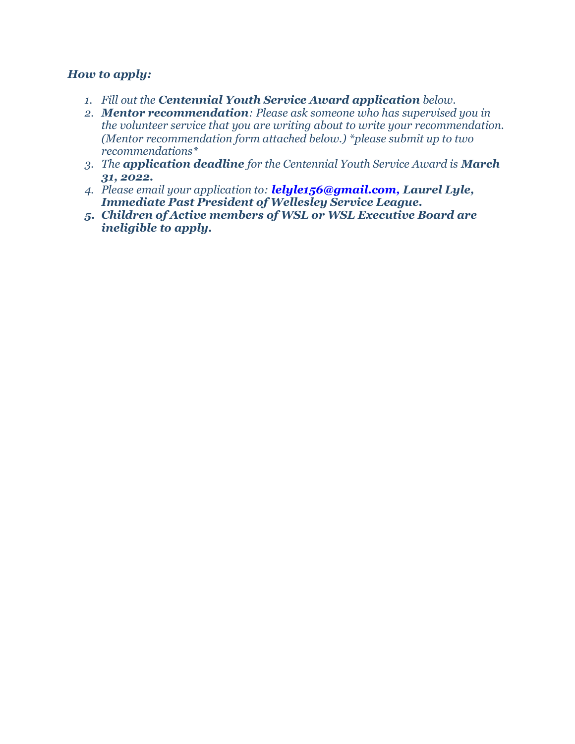### *How to apply:*

- *1. Fill out the Centennial Youth Service Award application below.*
- *2. Mentor recommendation: Please ask someone who has supervised you in the volunteer service that you are writing about to write your recommendation. (Mentor recommendation form attached below.) \*please submit up to two recommendations\**
- *3. The application deadline for the Centennial Youth Service Award is March 31, 2022.*
- *4. Please email your application to: lelyle156@gmail.com, Laurel Lyle, Immediate Past President of Wellesley Service League.*
- *5. Children of Active members of WSL or WSL Executive Board are ineligible to apply.*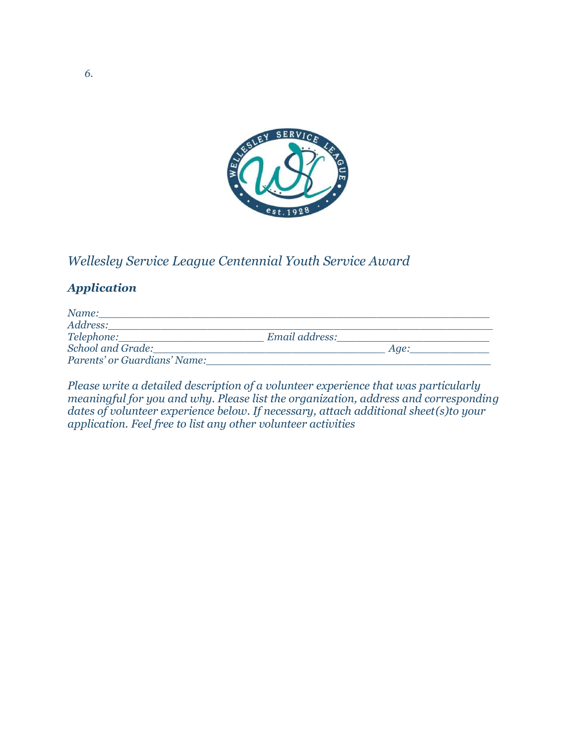

## *Wellesley Service League Centennial Youth Service Award*

## *Application*

| Name:                        |                |      |  |
|------------------------------|----------------|------|--|
| Address:                     |                |      |  |
| Telephone:                   | Email address: |      |  |
| <b>School and Grade:</b>     |                | Aae: |  |
| Parents' or Guardians' Name: |                |      |  |

*Please write a detailed description of a volunteer experience that was particularly meaningful for you and why. Please list the organization, address and corresponding dates of volunteer experience below. If necessary, attach additional sheet(s)to your application. Feel free to list any other volunteer activities*